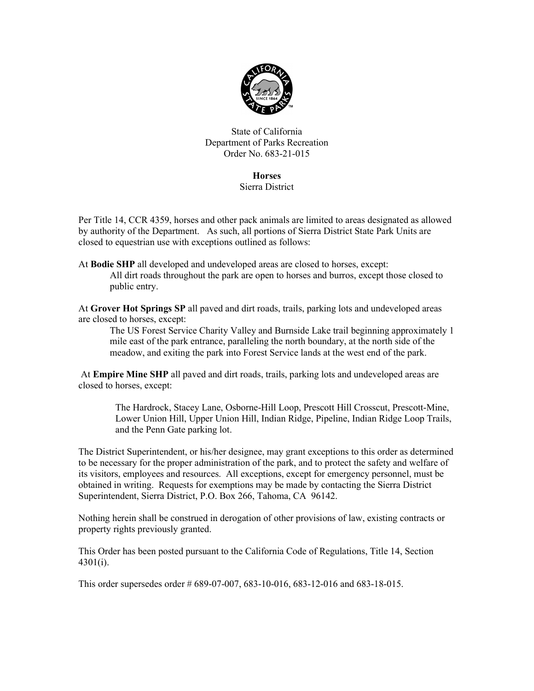

State of California Department of Parks Recreation Order No. 683-21-015

## **Horses**

## Sierra District

Per Title 14, CCR 4359, horses and other pack animals are limited to areas designated as allowed by authority of the Department. As such, all portions of Sierra District State Park Units are closed to equestrian use with exceptions outlined as follows:

At Bodie SHP all developed and undeveloped areas are closed to horses, except: All dirt roads throughout the park are open to horses and burros, except those closed to public entry.

At Grover Hot Springs SP all paved and dirt roads, trails, parking lots and undeveloped areas are closed to horses, except:

The US Forest Service Charity Valley and Burnside Lake trail beginning approximately 1 mile east of the park entrance, paralleling the north boundary, at the north side of the meadow, and exiting the park into Forest Service lands at the west end of the park.

 At Empire Mine SHP all paved and dirt roads, trails, parking lots and undeveloped areas are closed to horses, except:

The Hardrock, Stacey Lane, Osborne-Hill Loop, Prescott Hill Crosscut, Prescott-Mine, Lower Union Hill, Upper Union Hill, Indian Ridge, Pipeline, Indian Ridge Loop Trails, and the Penn Gate parking lot.

The District Superintendent, or his/her designee, may grant exceptions to this order as determined to be necessary for the proper administration of the park, and to protect the safety and welfare of its visitors, employees and resources. All exceptions, except for emergency personnel, must be obtained in writing. Requests for exemptions may be made by contacting the Sierra District Superintendent, Sierra District, P.O. Box 266, Tahoma, CA 96142.

Nothing herein shall be construed in derogation of other provisions of law, existing contracts or property rights previously granted.

This Order has been posted pursuant to the California Code of Regulations, Title 14, Section 4301(i).

This order supersedes order # 689-07-007, 683-10-016, 683-12-016 and 683-18-015.